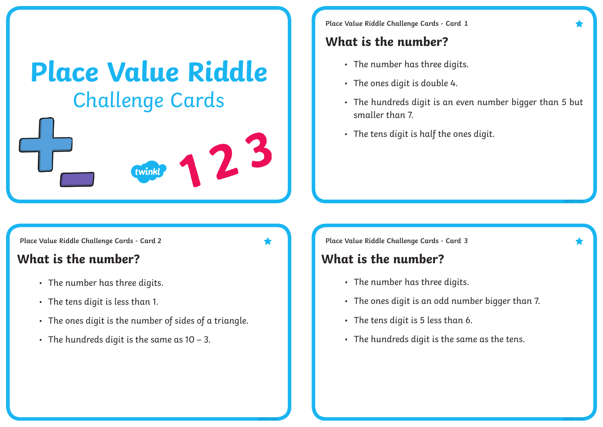# **Place Value Riddle** Challenge Cards



**Place Value Riddle Challenge Cards - Card 1**

### **What is the number?**

- The number has three digits.
- The ones digit is double 4.
- The hundreds digit is an even number bigger than 5 but smaller than 7.
- The tens digit is half the ones digit.

**Place Value Riddle Challenge Cards - Card Place Value Riddle Challenge Cards - Card**

### **What is the number? What is the number?**

- The number has three digits.
- The tens digit is less than 1.
- The ones digit is the number of sides of a triangle.
- $\cdot$  The hundreds digit is the same as 10 3.

**Place Value Riddle Challenge Cards - Card 3** 

- The number has three digits.
- The ones digit is an odd number bigger than 7.
- The tens digit is 5 less than 6.
- The hundreds digit is the same as the tens.

**twinkl.com twinkl.com**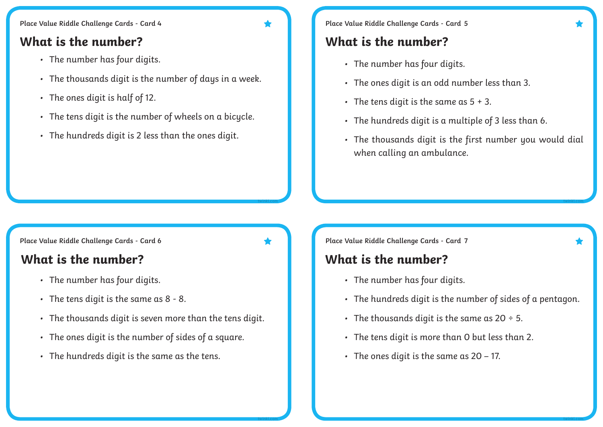- The number has four digits.
- The thousands digit is the number of days in a week.
- The ones digit is half of 12.
- The tens digit is the number of wheels on a bicycle.
- The hundreds digit is 2 less than the ones digit.

**Place Value Riddle Challenge Cards - Card 5** 

### **What is the number? What is the number?**

- The number has four digits.
- The ones digit is an odd number less than 3.
- The tens digit is the same as  $5 + 3$ .
- The hundreds digit is a multiple of 3 less than 6.
- The thousands digit is the first number you would dial when calling an ambulance.

**Place Value Riddle Challenge Cards - Card**

### **What is the number? What is the number?**

- The number has four digits.
- The tens digit is the same as 8 8.
- The thousands digit is seven more than the tens digit.

**twinkl.com**

**twinkl.com**

- The ones digit is the number of sides of a square.
- The hundreds digit is the same as the tens.

**Place Value Riddle Challenge Cards - Card 6 7**

- The number has four digits.
- The hundreds digit is the number of sides of a pentagon.
- The thousands digit is the same as  $20 \div 5$ .
- The tens digit is more than 0 but less than 2.
- $\cdot$  The ones digit is the same as 20 17.

**twinkl.com**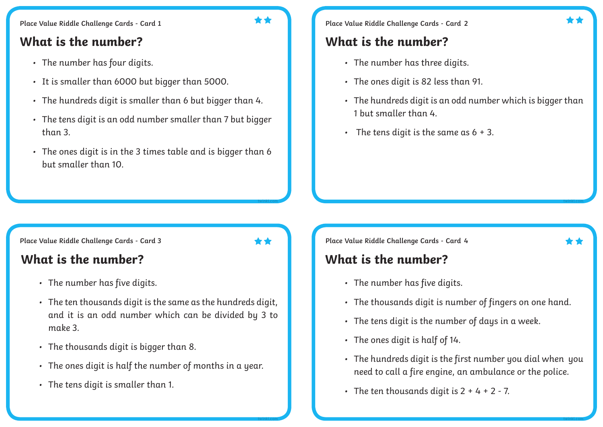### **What is the number? What is the number?**

- The number has four digits.
- It is smaller than 6000 but bigger than 5000.
- The hundreds digit is smaller than 6 but bigger than 4.
- The tens digit is an odd number smaller than 7 but bigger than 3.
- The ones digit is in the 3 times table and is bigger than 6 but smaller than 10.

**Place Value Riddle Challenge Cards - Card 1 2**

- The number has three digits.
- The ones digit is 82 less than 91.
- The hundreds digit is an odd number which is bigger than 1 but smaller than 4.
- The tens digit is the same as  $6 + 3$ .

**Place Value Riddle Challenge Cards - Card 4** 

- The number has five digits.
- The thousands digit is number of fingers on one hand.
- The tens digit is the number of days in a week.
- The ones digit is half of 14.
- The hundreds digit is the first number you dial when you need to call a fire engine, an ambulance or the police.
- The ten thousands digit is  $2 + 4 + 2 7$ .

### **Place Value Riddle Challenge Cards - Card**

### **What is the number? What is the number?**

- The number has five digits.
- The ten thousands digit is the same as the hundreds digit, and it is an odd number which can be divided by 3 to make 3.
- The thousands digit is bigger than 8.
- The ones digit is half the number of months in a year.
- The tens digit is smaller than 1.

**twinkl.com**

**twinkl.com**

**twinkl.com**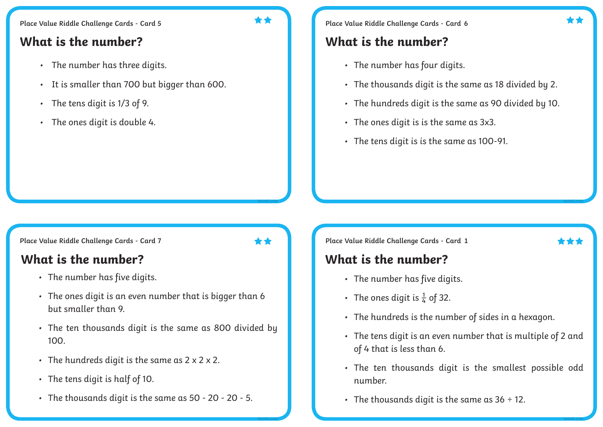### **What is the number? What is the number?**

- The number has three digits.
- It is smaller than 700 but bigger than 600.
- The tens digit is 1/3 of 9.
- The ones digit is double 4.

**Place Value Riddle Challenge Cards - Card 6** 

- The number has four digits.
- The thousands digit is the same as 18 divided by 2.
- The hundreds digit is the same as 90 divided by 10.
- The ones digit is is the same as 3x3.
- The tens digit is is the same as 100-91.

**Place Value Riddle Challenge Cards - Card**

### **What is the number? What is the number?**

- The number has five digits.
- The ones digit is an even number that is bigger than 6 but smaller than 9.
- The ten thousands digit is the same as 800 divided by 100.
- $\cdot$  The hundreds digit is the same as  $2 \times 2 \times 2$ .
- The tens digit is half of 10.
- The thousands digit is the same as 50 20 20 5.

**Place Value Riddle Challenge Cards - Card 1** 

**twinkl.com**

**twinkl.com**

- The number has five digits.
- The ones digit is  $\frac{1}{4}$  of 32.
- The hundreds is the number of sides in a hexagon.
- The tens digit is an even number that is multiple of 2 and of 4 that is less than 6.
- The ten thousands digit is the smallest possible odd number.
- The thousands digit is the same as  $36 \div 12$ .

**twinkl.com**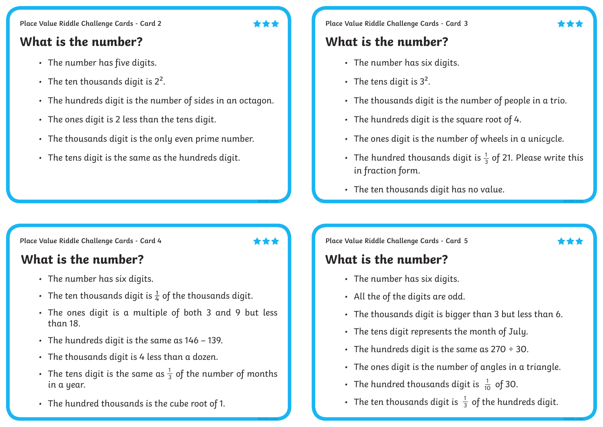### **What is the number? What is the number?**

- The number has five digits.
- The ten thousands digit is  $2^2$ .
- The hundreds digit is the number of sides in an octagon.
- The ones digit is 2 less than the tens digit.
- The thousands digit is the only even prime number.
- The tens digit is the same as the hundreds digit.

### **Place Value Riddle Challenge Cards - Card 3**

- The number has six digits.
- The tens digit is  $3^2$ .
- The thousands digit is the number of people in a trio.
- The hundreds digit is the square root of 4.
- The ones digit is the number of wheels in a unicycle.
- The hundred thousands digit is  $\frac{1}{3}$  of 21. Please write this in fraction form. 3
- The ten thousands digit has no value.

**Place Value Riddle Challenge Cards - Card**

## **What is the number? What is the number?**

- The number has six digits.
- The ten thousands digit is  $\frac{1}{4}$  of the thousands digit.
- The ones digit is a multiple of both 3 and 9 but less than 18.
- The hundreds digit is the same as 146 139.
- The thousands digit is 4 less than a dozen.
- The tens digit is the same as  $\frac{1}{3}$  of the number of months in a year. 3
- The hundred thousands is the cube root of 1.

**A A 1 Example 2 Place Value Riddle Challenge Cards - Card 5** 

- The number has six digits.
- All the of the digits are odd.
- The thousands digit is bigger than 3 but less than 6.
- The tens digit represents the month of July.
- The hundreds digit is the same as  $270 \div 30$ .
- The ones digit is the number of angles in a triangle.
- The hundred thousands digit is  $\frac{1}{10}$  of 30. 10
- The ten thousands digit is  $\frac{1}{3}$  of the hundreds digit. 3

**twinkl.com**

**twinkl.com**

**twinkl.com**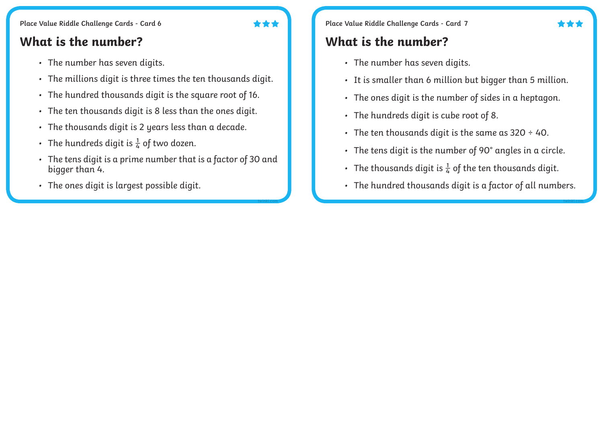### **What is the number? What is the number?**

- The number has seven digits.
- The millions digit is three times the ten thousands digit.
- The hundred thousands digit is the square root of 16.
- The ten thousands digit is 8 less than the ones digit.
- The thousands digit is 2 years less than a decade.
- The hundreds digit is  $\frac{1}{4}$  of two dozen.
- The tens digit is a prime number that is a factor of 30 and bigger than 4.
- The ones digit is largest possible digit.

**Place Value Riddle Challenge Cards - Card 7 Place Value Riddle Challenge Cards - Card 7** 

- The number has seven digits.
- It is smaller than 6 million but bigger than 5 million.
- The ones digit is the number of sides in a heptagon.
- The hundreds digit is cube root of 8.
- The ten thousands digit is the same as  $320 \div 40$ .
- The tens digit is the number of 90° angles in a circle.
- The thousands digit is  $\frac{1}{6}$  of the ten thousands digit.
- The hundred thousands digit is a factor of all numbers.

**twinkl.com**